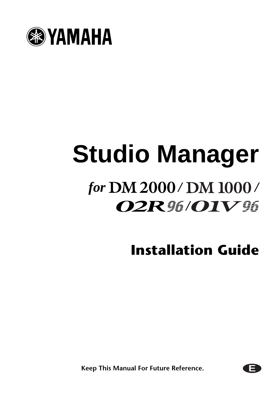

# **Studio Manager** *for* DM 2000/DM 1000/ *<i>O2R 96/OIV 96*

**Installation Guide**

**E**

**Keep This Manual For Future Reference.**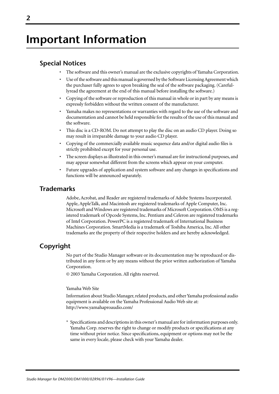## **Important Information**

## **Special Notices**

- The software and this owner's manual are the exclusive copyrights of Yamaha Corporation.
- Use of the software and this manual is governed by the Software Licensing Agreement which the purchaser fully agrees to upon breaking the seal of the software packaging. (Carefullyread the agreement at the end of this manual before installing the software.)
- Copying of the software or reproduction of this manual in whole or in part by any means is expressly forbidden without the written consent of the manufacturer.
- Yamaha makes no representations or warranties with regard to the use of the software and documentation and cannot be held responsible for the results of the use of this manual and the software.
- This disc is a CD-ROM. Do not attempt to play the disc on an audio CD player. Doing so may result in irreparable damage to your audio CD player.
- Copying of the commercially available music sequence data and/or digital audio files is strictly prohibited except for your personal use.
- The screen displays as illustrated in this owner's manual are for instructional purposes, and may appear somewhat different from the screens which appear on your computer.
- Future upgrades of application and system software and any changes in specifications and functions will be announced separately.

## **Trademarks**

Adobe, Acrobat, and Reader are registered trademarks of Adobe Systems Incorporated. Apple, AppleTalk, and Macintosh are registered trademarks of Apple Computer, Inc. Microsoft and Windows are registered trademarks of Microsoft Corporation. OMS is a registered trademark of Opcode Systems, Inc. Pentium and Celeron are registered trademarks of Intel Corporation. PowerPC is a registered trademark of International Business Machines Corporation. SmartMedia is a trademark of Toshiba America, Inc. All other trademarks are the property of their respective holders and are hereby acknowledged.

## **Copyright**

No part of the Studio Manager software or its documentation may be reproduced or distributed in any form or by any means without the prior written authorization of Yamaha Corporation.

© 2003 Yamaha Corporation. All rights reserved.

### Yamaha Web Site

Information about Studio Manager, related products, and other Yamaha professional audio equipment is available on the Yamaha Professional Audio Web site at: http://www.yamahaproaudio.com/

\* Specifications and descriptions in this owner's manual are for information purposes only. Yamaha Corp. reserves the right to change or modify products or specifications at any time without prior notice. Since specifications, equipment or options may not be the same in every locale, please check with your Yamaha dealer.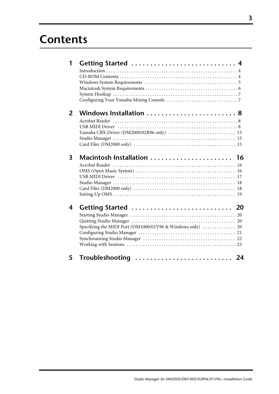## **Contents**

|                     | 20                                            |
|---------------------|-----------------------------------------------|
|                     |                                               |
|                     |                                               |
|                     |                                               |
|                     |                                               |
|                     |                                               |
|                     |                                               |
| Troubleshooting  24 |                                               |
|                     | Macintosh Installation  16<br>Getting Started |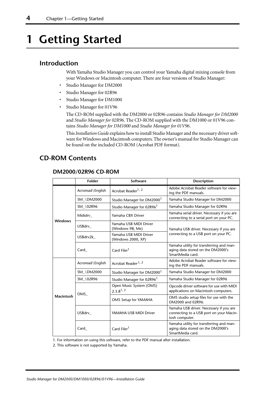## <span id="page-3-0"></span>**1 Getting Started**

## <span id="page-3-1"></span>**Introduction**

With Yamaha Studio Manager you can control your Yamaha digital mixing console from your Windows or Macintosh computer. There are four versions of Studio Manager:

- Studio Manager for DM2000
- Studio Manager for 02R96
- Studio Manager for DM1000
- Studio Manager for 01V96

The CD-ROM supplied with the DM2000 or 02R96 contains *Studio Manager for DM2000* and *Studio Manager for 02R96*. The CD-ROM supplied with the DM1000 or 01V96 contains *Studio Manager for DM1000* and *Studio Manager for 01V96*.

This *Installation Guide* explains how to install Studio Manager and the necessary driver software for Windows and Macintosh computers. The owner's manual for Studio Manager can be found on the included CD-ROM (Acrobat PDF format).

## <span id="page-3-2"></span>**CD-ROM Contents**

## **DM2000/02R96 CD-ROM**

|                  | <b>Folder</b>    | Software                                     | Description                                                                                          |  |
|------------------|------------------|----------------------------------------------|------------------------------------------------------------------------------------------------------|--|
|                  | Acroread\English | Acrobat Reader <sup>1, 2</sup>               | Adobe Acrobat Reader software for view-<br>ing the PDF manuals.                                      |  |
|                  | SM_\DM2000       | Studio Manager for DM2000 <sup>1</sup>       | Yamaha Studio Manager for DM2000                                                                     |  |
|                  | SM \02R96        | Studio Manager for 02R96                     | Yamaha Studio Manager for 02R96                                                                      |  |
| <b>Windows</b>   | Mididrv          | Yamaha CBX Driver                            | Yamaha serial driver. Necessary if you are<br>connecting to a serial port on your PC.                |  |
|                  | USBdrv           | Yamaha USB MIDI Driver<br>(Windows 98, Me)   | Yamaha USB driver. Necessary if you are                                                              |  |
|                  | USBdrv2k         | Yamaha USB MIDI Driver<br>(Windows 2000, XP) | connecting to a USB port on your PC.                                                                 |  |
|                  | Card             | Card Filer <sup>1</sup>                      | Yamaha utility for transferring and man-<br>aging data stored on the DM2000's<br>SmartMedia card.    |  |
|                  | Acroread\English | Acrobat Reader <sup>, 1, 2</sup>             | Adobe Acrobat Reader software for view-<br>ing the PDF manuals.                                      |  |
|                  | SM \DM2000       | Studio Manager for DM2000 <sup>1</sup>       | Yamaha Studio Manager for DM2000                                                                     |  |
|                  | SM \02R96        | Studio Manager for 02R96                     | Yamaha Studio Manager for 02R96                                                                      |  |
| <b>Macintosh</b> | OMS              | Open Music System (OMS)<br>$2.3.8^{1,2}$     | Opcode driver software for use with MIDI<br>applications on Macintosh computers.                     |  |
|                  |                  | OMS Setup for YAMAHA                         | OMS studio setup files for use with the<br>DM2000 and 02R96.                                         |  |
|                  | USBdrv           | YAMAHA USB MIDI Driver                       | Yamaha USB driver. Necessary if you are<br>connecting to a USB port on your Macin-<br>tosh computer. |  |
|                  | Card             | Card Filer <sup>1</sup>                      | Yamaha utility for transferring and man-<br>aging data stored on the DM2000's<br>SmartMedia card.    |  |

1. For information on using this software, refer to the PDF manual after installation.

2. This software is not supported by Yamaha.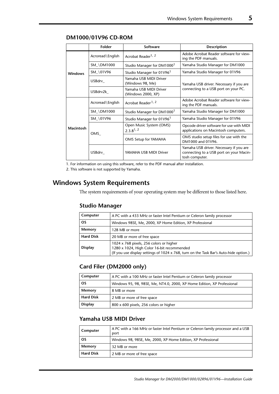|                  | Folder           | <b>Software</b>                              | <b>Description</b>                                                                                   |  |
|------------------|------------------|----------------------------------------------|------------------------------------------------------------------------------------------------------|--|
| <b>Windows</b>   | Acroread\English | Acrobat Reader <sup>1, 2</sup>               | Adobe Acrobat Reader software for view-<br>ing the PDF manuals.                                      |  |
|                  | SM_\DM1000       | Studio Manager for DM1000                    | Yamaha Studio Manager for DM1000                                                                     |  |
|                  | SM_\01V96        | Studio Manager for 01V96 <sup>1</sup>        | Yamaha Studio Manager for 01V96                                                                      |  |
|                  | USBdrv_          | Yamaha USB MIDI Driver<br>(Windows 98, Me)   | Yamaha USB driver. Necessary if you are<br>connecting to a USB port on your PC.                      |  |
|                  | USBdrv2k         | Yamaha USB MIDI Driver<br>(Windows 2000, XP) |                                                                                                      |  |
|                  | Acroread\English | Acrobat Reader <sup>1, 2</sup>               | Adobe Acrobat Reader software for view-<br>ing the PDF manuals.                                      |  |
|                  | SM_\DM1000       | Studio Manager for DM1000                    | Yamaha Studio Manager for DM1000                                                                     |  |
| <b>Macintosh</b> | SM \01V96        | Studio Manager for 01V96 <sup>1</sup>        | Yamaha Studio Manager for 01V96                                                                      |  |
|                  | OMS              | Open Music System (OMS)<br>$2.3.8^{1,2}$     | Opcode driver software for use with MIDI<br>applications on Macintosh computers.                     |  |
|                  |                  | OMS Setup for YAMAHA                         | OMS studio setup files for use with the<br>DM1000 and 01V96.                                         |  |
|                  | USBdrv           | YAMAHA USB MIDI Driver                       | Yamaha USB driver. Necessary if you are<br>connecting to a USB port on your Macin-<br>tosh computer. |  |

### **DM1000/01V96 CD-ROM**

1. For information on using this software, refer to the PDF manual after installation.

2. This software is not supported by Yamaha.

## <span id="page-4-0"></span>**Windows System Requirements**

The system requirements of your operating system may be different to those listed here.

### **Studio Manager**

| Computer         | A PC with a 433 MHz or faster Intel Pentium or Celeron family processor                                                                                                        |
|------------------|--------------------------------------------------------------------------------------------------------------------------------------------------------------------------------|
| <b>OS</b>        | Windows 98SE, Me, 2000, XP Home Edition, XP Professional                                                                                                                       |
| Memory           | 128 MB or more                                                                                                                                                                 |
| <b>Hard Disk</b> | 20 MB or more of free space                                                                                                                                                    |
| <b>Display</b>   | 1024 x 768 pixels, 256 colors or higher<br>1280 x 1024, High Color 16-bit recommended<br>(If you use display settings of 1024 x 768, turn on the Task Bar's Auto-hide option.) |

## **Card Filer (DM2000 only)**

| Computer         | A PC with a 100 MHz or faster Intel Pentium or Celeron family processor |
|------------------|-------------------------------------------------------------------------|
| <b>OS</b>        | Windows 95, 98, 98SE, Me, NT4.0, 2000, XP Home Edition, XP Professional |
| Memory           | 8 MB or more                                                            |
| <b>Hard Disk</b> | 2 MB or more of free space                                              |
| <b>Display</b>   | 800 x 600 pixels, 256 colors or higher                                  |

## **Yamaha USB MIDI Driver**

| Computer         | A PC with a 166 MHz or faster Intel Pentium or Celeron family processor and a USB<br>port |
|------------------|-------------------------------------------------------------------------------------------|
| <b>OS</b>        | Windows 98, 98SE, Me, 2000, XP Home Edition, XP Professional                              |
| Memory           | 32 MB or more                                                                             |
| <b>Hard Disk</b> | 2 MB or more of free space                                                                |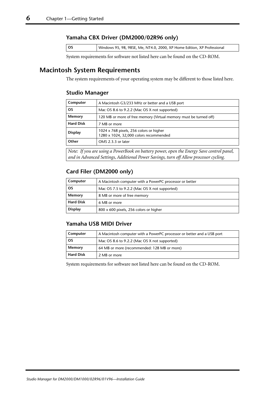### **Yamaha CBX Driver (DM2000/02R96 only)**

| l os<br>Windows 95, 98, 98SE, Me, NT4.0, 2000, XP Home Edition, XP Professional |  |
|---------------------------------------------------------------------------------|--|
|---------------------------------------------------------------------------------|--|

System requirements for software not listed here can be found on the CD-ROM.

## <span id="page-5-0"></span>**Macintosh System Requirements**

The system requirements of your operating system may be different to those listed here.

## **Studio Manager**

| Computer         | A Macintosh G3/233 MHz or better and a USB port                                   |
|------------------|-----------------------------------------------------------------------------------|
| <b>OS</b>        | Mac OS 8.6 to 9.2.2 (Mac OS X not supported)                                      |
| Memory           | 120 MB or more of free memory (Virtual memory must be turned off)                 |
| <b>Hard Disk</b> | 7 MB or more                                                                      |
| <b>Display</b>   | 1024 x 768 pixels, 256 colors or higher<br>1280 x 1024, 32,000 colors recommended |
| Other            | OMS 2.3.3 or later                                                                |

*Note: If you are using a PowerBook on battery power, open the Energy Save control panel, and in Advanced Settings, Additional Power Savings, turn off Allow processor cycling.*

## **Card Filer (DM2000 only)**

| Computer         | A Macintosh computer with a PowerPC processor or better |
|------------------|---------------------------------------------------------|
| <b>OS</b>        | Mac OS 7.5 to 9.2.2 (Mac OS X not supported)            |
| Memory           | 8 MB or more of free memory                             |
| <b>Hard Disk</b> | 6 MB or more                                            |
| <b>Display</b>   | 800 x 600 pixels, 256 colors or higher                  |

## **Yamaha USB MIDI Driver**

| Computer         | A Macintosh computer with a PowerPC processor or better and a USB port |
|------------------|------------------------------------------------------------------------|
| <b>OS</b>        | Mac OS 8.6 to 9.2.2 (Mac OS X not supported)                           |
| Memory           | 64 MB or more (recommended: 128 MB or more)                            |
| <b>Hard Disk</b> | 2 MB or more                                                           |

System requirements for software not listed here can be found on the CD-ROM.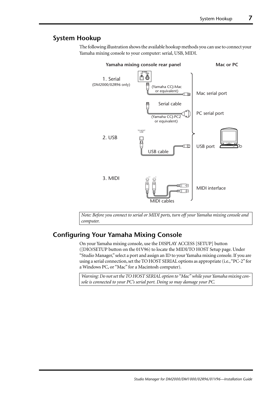## <span id="page-6-0"></span>**System Hookup**

The following illustration shows the available hookup methods you can use to connect your Yamaha mixing console to your computer: serial, USB, MIDI.



*Note: Before you connect to serial or MIDI ports, turn off your Yamaha mixing console and computer.*

## <span id="page-6-1"></span>**Configuring Your Yamaha Mixing Console**

On your Yamaha mixing console, use the DISPLAY ACCESS [SETUP] button ([DIO/SETUP button on the 01V96) to locate the MIDI/TO HOST Setup page. Under "Studio Manager," select a port and assign an ID to your Yamaha mixing console. If you are using a serial connection, set the TO HOST SERIAL options as appropriate (i.e., "PC-2" for a Windows PC, or "Mac" for a Macintosh computer).

*Warning: Do not set the TO HOST SERIAL option to "Mac" while your Yamaha mixing console is connected to your PC's serial port. Doing so may damage your PC.*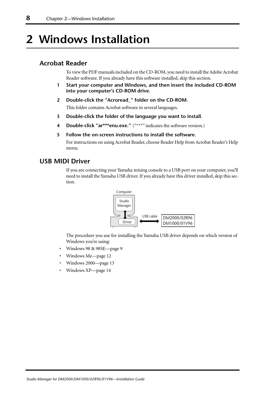## <span id="page-7-0"></span>**2 Windows Installation**

## <span id="page-7-1"></span>**Acrobat Reader**

To view the PDF manuals included on the CD-ROM, you need to install the Adobe Acrobat Reader software. If you already have this software installed, skip this section.

- **1 Start your computer and Windows, and then insert the included CD-ROM into your computer's CD-ROM drive.**
- **2 Double-click the "Acroread\_" folder on the CD-ROM.** This folder contains Acrobat software in several languages.
- **3 Double-click the folder of the language you want to install.**
- **4 Double-click "ar\*\*\*enu.exe."** ("\*\*\*" indicates the software version.)
- **5 Follow the on-screen instructions to install the software.**

For instructions on using Acrobat Reader, choose Reader Help from Acrobat Reader's Help menu.

## <span id="page-7-2"></span>**USB MIDI Driver**

If you are connecting your Yamaha mixing console to a USB port on your computer, you'll need to install the Yamaha USB driver. If you already have this driver installed, skip this section.



The procedure you use for installing the Yamaha USB driver depends on which version of Windows you're using:

- Windows 98 & 98SE[—page 9](#page-8-0)
- Windows Me[—page 12](#page-11-0)
- Windows 2000—[page 13](#page-12-0)
- Windows XP[—page 14](#page-13-0)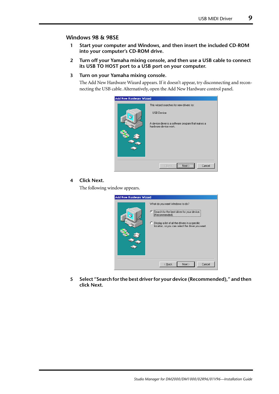## <span id="page-8-0"></span>**Windows 98 & 98SE**

- **1 Start your computer and Windows, and then insert the included CD-ROM into your computer's CD-ROM drive.**
- **2 Turn off your Yamaha mixing console, and then use a USB cable to connect its USB TO HOST port to a USB port on your computer.**
- **3 Turn on your Yamaha mixing console.**

The Add New Hardware Wizard appears. If it doesn't appear, try disconnecting and reconnecting the USB cable. Alternatively, open the Add New Hardware control panel.



## **4 Click Next.**

The following window appears.

| <b>Add New Hardware Wizard</b> |                                                                                                                                                                                                             |
|--------------------------------|-------------------------------------------------------------------------------------------------------------------------------------------------------------------------------------------------------------|
|                                | What do you want Windows to do?<br>6 Search for the best driver for your device.<br>[Recommended].<br>C Display a list of all the drivers in a specific<br>location, so you can select the driver you want. |
|                                | Next ><br>Cancel<br>< Back                                                                                                                                                                                  |

**5 Select "Search for the best driver for your device (Recommended)," and then click Next.**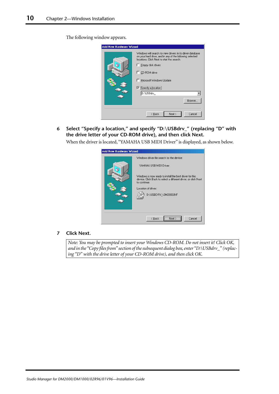The following window appears.



**6 Select "Specify a location," and specify "D:\USBdrv\_" (replacing "D" with the drive letter of your CD-ROM drive), and then click Next.**

When the driver is located, "YAMAHA USB MIDI Driver" is displayed, as shown below.

| <b>Add New Hardware Wizard</b> |                                                                                                                                                                                                                                                                    |  |
|--------------------------------|--------------------------------------------------------------------------------------------------------------------------------------------------------------------------------------------------------------------------------------------------------------------|--|
|                                | Windows driver file search for the device:<br>YAMAHA USB MIDI Driver<br>Windows is now ready to install the best driver for this<br>device. Click Back to select a different driver, or click Next<br>to continue.<br>Location of driver:<br>D:\USBDRV_\DM2000.INF |  |
|                                | Cancel<br>< <u>B</u> ack                                                                                                                                                                                                                                           |  |

### **7 Click Next.**

*Note: You may be prompted to insert your Windows CD-ROM. Do not insert it! Click OK, and in the "Copy files from" section of the subsequent dialog box, enter "D:\USBdrv\_" (replacing "D" with the drive letter of your CD-ROM drive), and then click OK.*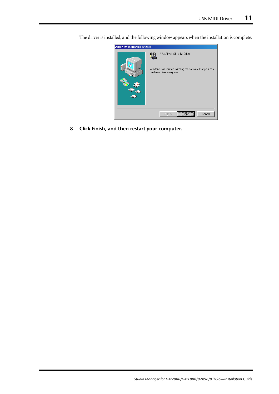

The driver is installed, and the following window appears when the installation is complete.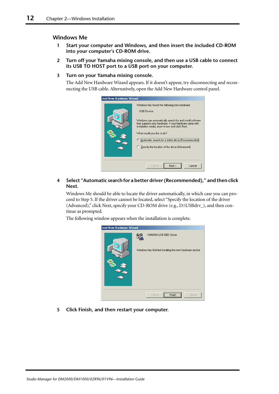### <span id="page-11-0"></span>**Windows Me**

- **1 Start your computer and Windows, and then insert the included CD-ROM into your computer's CD-ROM drive.**
- **2 Turn off your Yamaha mixing console, and then use a USB cable to connect its USB TO HOST port to a USB port on your computer.**
- **3 Turn on your Yamaha mixing console.**

The Add New Hardware Wizard appears. If it doesn't appear, try disconnecting and reconnecting the USB cable. Alternatively, open the Add New Hardware control panel.

| Add New Hardware Wizard |                                                                                                                                                                                                                                                                                                                                                                                  |
|-------------------------|----------------------------------------------------------------------------------------------------------------------------------------------------------------------------------------------------------------------------------------------------------------------------------------------------------------------------------------------------------------------------------|
|                         | Windows has found the following new hardware:<br><b>USB</b> Device<br>Windows can automatically search for and install software<br>that supports your hardware. If your hardware came with<br>installation media, insert it now and click Next.<br>What would you like to do?<br>© Automatic search for a better driver (Recomm<br>Specify the location of the driver (Advanced) |
|                         | Next ><br>Cancel<br>< Back                                                                                                                                                                                                                                                                                                                                                       |

**4 Select "Automatic search for a better driver (Recommended)," and then click Next.**

Windows Me should be able to locate the driver automatically, in which case you can proceed to Step [5](#page-11-1). If the driver cannot be located, select "Specify the location of the driver (Advanced)," click Next, specify your CD-ROM drive (e.g., D:\USBdrv\_), and then continue as prompted.

<span id="page-11-1"></span>The following window appears when the installation is complete.

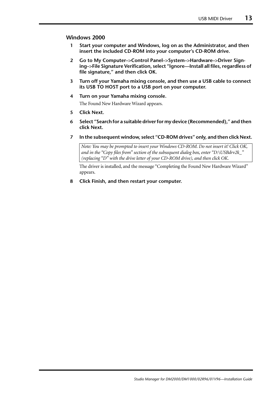### <span id="page-12-0"></span>**Windows 2000**

- **1 Start your computer and Windows, log on as the Administrator, and then insert the included CD-ROM into your computer's CD-ROM drive.**
- **2 Go to My Computer–>Control Panel–>System–>Hardware–>Driver Signing–>File Signature Verification, select "Ignore—Install all files, regardless of file signature," and then click OK.**
- **3 Turn off your Yamaha mixing console, and then use a USB cable to connect its USB TO HOST port to a USB port on your computer.**
- **4 Turn on your Yamaha mixing console.**

The Found New Hardware Wizard appears.

- **5 Click Next.**
- **6 Select "Search for a suitable driver for my device (Recommended)," and then click Next.**
- **7 In the subsequent window, select "CD-ROM drives" only, and then click Next.**

*Note: You may be prompted to insert your Windows CD-ROM. Do not insert it! Click OK, and in the "Copy files from" section of the subsequent dialog box, enter "D:\USBdrv2k\_" (replacing "D" with the drive letter of your CD-ROM drive), and then click OK.*

The driver is installed, and the message "Completing the Found New Hardware Wizard" appears.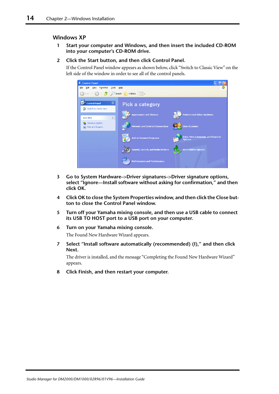### <span id="page-13-0"></span>**Windows XP**

- **1 Start your computer and Windows, and then insert the included CD-ROM into your computer's CD-ROM drive.**
- **2 Click the Start button, and then click Control Panel.**

If the Control Panel window appears as shown below, click "Switch to Classic View" on the left side of the window in order to see all of the control panels.

| Control Panel                                                                      |                                         |                                                      |
|------------------------------------------------------------------------------------|-----------------------------------------|------------------------------------------------------|
| Edit<br>Tools<br>Eile<br>Favorites<br>View                                         | Help                                    | 7,                                                   |
| Back $\rightarrow$ $\rightarrow$ $\rightarrow$                                     | Search <b>P</b> Folders 111 .           |                                                      |
| $\left( \mathbf{\hat{x}}\right)$<br><b>Control Panel</b><br>Switch to Classic View | <b>Pick a category</b>                  |                                                      |
| $\otimes$<br><b>See Also</b>                                                       | <b>Appearance and Themes</b>            | <b>Printers and Other Hardware</b>                   |
| Windows Update<br>(b) Help and Support                                             | <b>Network and Internet Connections</b> | <b>User Accounts</b>                                 |
|                                                                                    | <b>Add or Remove Programs</b>           | Date, Time, Language, and Regional<br><b>Options</b> |
|                                                                                    | Sounds, Speech, and Audio Devices       | <b>Accessibility Options</b>                         |
|                                                                                    | <b>Performance and Maintenance</b>      |                                                      |

- **3 Go to System Hardware–>Driver signatures–>Driver signature options, select "Ignore—Install software without asking for confirmation," and then click OK.**
- **4 Click OK to close the System Properties window, and then click the Close button to close the Control Panel window.**
- **5 Turn off your Yamaha mixing console, and then use a USB cable to connect its USB TO HOST port to a USB port on your computer.**
- **6 Turn on your Yamaha mixing console.** The Found New Hardware Wizard appears.
- **7 Select "Install software automatically (recommended) (I)," and then click Next.**

The driver is installed, and the message "Completing the Found New Hardware Wizard" appears.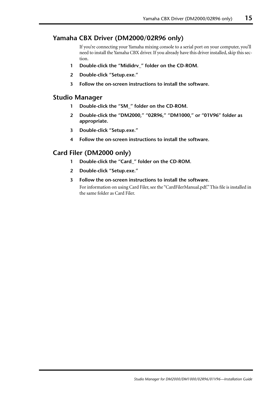## <span id="page-14-0"></span>**Yamaha CBX Driver (DM2000/02R96 only)**

If you're connecting your Yamaha mixing console to a serial port on your computer, you'll need to install the Yamaha CBX driver. If you already have this driver installed, skip this section.

- **1 Double-click the "Mididrv\_" folder on the CD-ROM.**
- **2 Double-click "Setup.exe."**
- **3 Follow the on-screen instructions to install the software.**

## <span id="page-14-1"></span>**Studio Manager**

- **1 Double-click the "SM\_" folder on the CD-ROM.**
- **2 Double-click the "DM2000," "02R96," "DM1000," or "01V96" folder as appropriate.**
- **3 Double-click "Setup.exe."**
- **4 Follow the on-screen instructions to install the software.**

## <span id="page-14-2"></span>**Card Filer (DM2000 only)**

- **1 Double-click the "Card\_" folder on the CD-ROM.**
- **2 Double-click "Setup.exe."**
- **3 Follow the on-screen instructions to install the software.** For information on using Card Filer, see the "CardFilerManual.pdf." This file is installed in the same folder as Card Filer.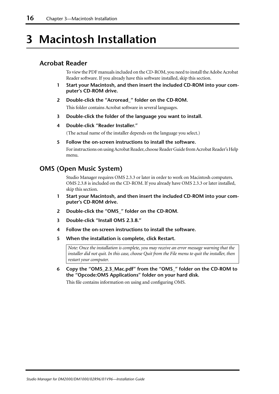## <span id="page-15-0"></span>**3 Macintosh Installation**

## <span id="page-15-1"></span>**Acrobat Reader**

To view the PDF manuals included on the CD-ROM, you need to install the Adobe Acrobat Reader software. If you already have this software installed, skip this section.

- **1 Start your Macintosh, and then insert the included CD-ROM into your computer's CD-ROM drive.**
- **2 Double-click the "Acroread\_" folder on the CD-ROM.** This folder contains Acrobat software in several languages.
- **3 Double-click the folder of the language you want to install.**
- **4 Double-click "Reader Installer."**

(The actual name of the installer depends on the language you select.)

**5 Follow the on-screen instructions to install the software.** For instructions on using Acrobat Reader, choose Reader Guide from Acrobat Reader's Help menu.

## <span id="page-15-2"></span>**OMS (Open Music System)**

Studio Manager requires OMS 2.3.3 or later in order to work on Macintosh computers. OMS 2.3.8 is included on the CD-ROM. If you already have OMS 2.3.3 or later installed, skip this section.

- **1 Start your Macintosh, and then insert the included CD-ROM into your computer's CD-ROM drive.**
- **2 Double-click the "OMS\_" folder on the CD-ROM.**
- **3 Double-click "Install OMS 2.3.8."**
- **4 Follow the on-screen instructions to install the software.**
- **5 When the installation is complete, click Restart.**

*Note: Once the installation is complete, you may receive an error message warning that the installer did not quit. In this case, choose Quit from the File menu to quit the installer, then restart your computer.*

**6 Copy the "OMS\_2.3\_Mac.pdf" from the "OMS\_" folder on the CD-ROM to the "Opcode:OMS Applications" folder on your hard disk.**

This file contains information on using and configuring OMS.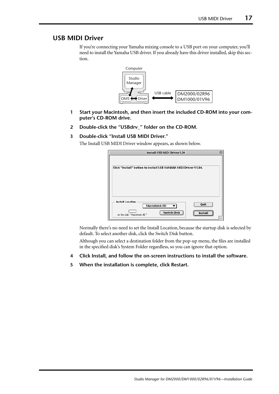## <span id="page-16-0"></span>**USB MIDI Driver**

If you're connecting your Yamaha mixing console to a USB port on your computer, you'll need to install the Yamaha USB driver. If you already have this driver installed, skip this section.



- **1 Start your Macintosh, and then insert the included CD-ROM into your computer's CD-ROM drive.**
- **2 Double-click the "USBdrv\_" folder on the CD-ROM.**
- **3 Double-click "Install USB MIDI Driver."**

The Install USB MIDI Driver window appears, as shown below.

| Install USB MIDI Driver1.04                                                                             | ⋿ |
|---------------------------------------------------------------------------------------------------------|---|
| Click "Install" button to install USB YAMAHA MIDI Driver V1.04.                                         |   |
| <b>Install Location</b><br>Quit<br>Macintosh HD<br>Switch Disk<br>Install<br>on the disk "Macintosh HD" |   |

Normally there's no need to set the Install Location, because the startup disk is selected by default. To select another disk, click the Switch Disk button.

Although you can select a destination folder from the pop-up menu, the files are installed in the specified disk's System Folder regardless, so you can ignore that option.

- **4 Click Install, and follow the on-screen instructions to install the software.**
- **5 When the installation is complete, click Restart.**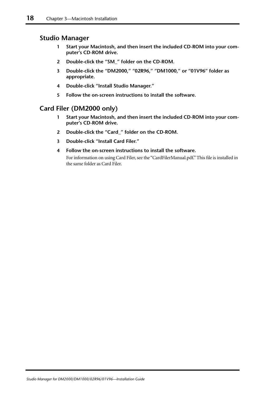## <span id="page-17-0"></span>**Studio Manager**

- **1 Start your Macintosh, and then insert the included CD-ROM into your computer's CD-ROM drive.**
- **2 Double-click the "SM\_" folder on the CD-ROM.**
- **3 Double-click the "DM2000," "02R96," "DM1000," or "01V96" folder as appropriate.**
- **4 Double-click "Install Studio Manager."**
- **5 Follow the on-screen instructions to install the software.**

## <span id="page-17-1"></span>**Card Filer (DM2000 only)**

- **1 Start your Macintosh, and then insert the included CD-ROM into your computer's CD-ROM drive.**
- **2 Double-click the "Card\_" folder on the CD-ROM.**
- **3 Double-click "Install Card Filer."**
- **4 Follow the on-screen instructions to install the software.**

For information on using Card Filer, see the "CardFilerManual.pdf." This file is installed in the same folder as Card Filer.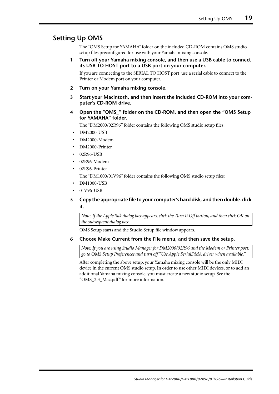## <span id="page-18-0"></span>**Setting Up OMS**

The "OMS Setup for YAMAHA" folder on the included CD-ROM contains OMS studio setup files preconfigured for use with your Yamaha mixing console.

**1 Turn off your Yamaha mixing console, and then use a USB cable to connect its USB TO HOST port to a USB port on your computer.**

If you are connecting to the SERIAL TO HOST port, use a serial cable to connect to the Printer or Modem port on your computer.

- **2 Turn on your Yamaha mixing console.**
- **3 Start your Macintosh, and then insert the included CD-ROM into your computer's CD-ROM drive.**
- **4 Open the "OMS\_" folder on the CD-ROM, and then open the "OMS Setup for YAMAHA" folder.**

The "DM2000/02R96" folder contains the following OMS studio setup files:

- DM2000-USB
- DM2000-Modem
- DM2000-Printer
- 02R96-USB
- 02R96-Modem
- 02R96-Printer The "DM1000/01V96" folder contains the following OMS studio setup files:
- DM1000-USB
- 01V96-USB

## **5 Copy the appropriate file to your computer's hard disk, and then double-click it.**

*Note: If the AppleTalk dialog box appears, click the Turn It Off button, and then click OK on the subsequent dialog box.*

OMS Setup starts and the Studio Setup file window appears.

### **6 Choose Make Current from the File menu, and then save the setup.**

*Note: If you are using Studio Manager for DM2000/02R96 and the Modem or Printer port, go to OMS Setup Preferences and turn off "Use Apple SerialDMA driver when available."*

After completing the above setup, your Yamaha mixing console will be the only MIDI device in the current OMS studio setup. In order to use other MIDI devices, or to add an additional Yamaha mixing console, you must create a new studio setup. See the "OMS\_2.3\_Mac.pdf" for more information.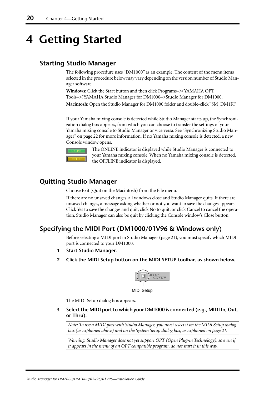## <span id="page-19-0"></span>**4 Getting Started**

## <span id="page-19-1"></span>**Starting Studio Manager**

The following procedure uses "DM1000" as an example. The content of the menu items selected in the procedure below may vary depending on the version number of Studio Manager software.

**Windows:** Click the Start button and then click Programs–>(YAMAHA OPT Tools–>)YAMAHA Studio Manager for DM1000–>Studio Manager for DM1000.

**Macintosh:** Open the Studio Manager for DM1000 folder and double-click "SM\_DM1K."

If your Yamaha mixing console is detected while Studio Manager starts up, the Synchronization dialog box appears, from which you can choose to transfer the settings of your Yamaha mixing console to Studio Manager or vice versa. [See "Synchronizing Studio Man](#page-21-0)[ager" on page 22 for more information.](#page-21-0) If no Yamaha mixing console is detected, a new Console window opens.



The ONLINE indicator is displayed while Studio Manager is connected to your Yamaha mixing console. When no Yamaha mixing console is detected, the OFFLINE indicator is displayed.

## <span id="page-19-2"></span>**Quitting Studio Manager**

Choose Exit (Quit on the Macintosh) from the File menu.

If there are no unsaved changes, all windows close and Studio Manager quits. If there are unsaved changes, a message asking whether or not you want to save the changes appears. Click Yes to save the changes and quit, click No to quit, or click Cancel to cancel the operation. Studio Manager can also be quit by clicking the Console window's Close button.

## <span id="page-19-3"></span>**Specifying the MIDI Port (DM1000/01V96 & Windows only)**

Before selecting a MIDI port in Studio Manager [\(page 21](#page-20-1)), you must specify which MIDI port is connected to your DM1000.

- **1 Start Studio Manager.**
- **2 Click the MIDI Setup button on the MIDI SETUP toolbar, as shown below.**



MIDI Setup

The MIDI Setup dialog box appears.

**3 Select the MIDI port to which your DM1000 is connected (e.g., MIDI In, Out, or Thru).**

*Note: To use a MIDI port with Studio Manager, you must select it on the MIDI Setup dialog box (as explained above) and on the System Setup dialog box, as explained on [page 21](#page-20-1).*

*Warning: Studio Manager does not yet support OPT (Open Plug-in Technology), so even if it appears in the menu of an OPT compatible program, do not start it in this way.*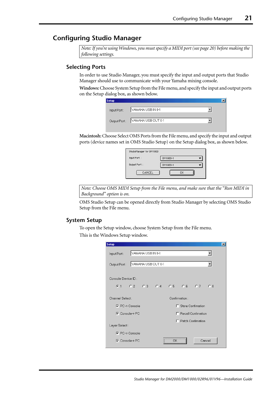## <span id="page-20-0"></span>**Configuring Studio Manager**

*Note: If you're using Windows, you must specify a MIDI port (see [page 20\)](#page-19-3) before making the following settings.*

### <span id="page-20-1"></span>**Selecting Ports**

In order to use Studio Manager, you must specify the input and output ports that Studio Manager should use to communicate with your Yamaha mixing console.

**Windows:**Choose System Setup from the File menu, and specify the input and output ports on the Setup dialog box, as shown below.

**Macintosh:**Choose Select OMS Ports from the File menu, and specify the input and output ports (device names set in OMS Studio Setup) on the Setup dialog box, as shown below.

| StudioManager for DM1000 |          |  |
|--------------------------|----------|--|
| Input Port:              | DM1000-1 |  |
| Output Port:             | DM1000-1 |  |
| CANCEL                   | ΠK       |  |

*Note: Choose OMS MIDI Setup from the File menu, and make sure that the "Run MIDI in Background" option is on.*

OMS Studio Setup can be opened directly from Studio Manager by selecting OMS Studio Setup from the File menu.

### **System Setup**

To open the Setup window, choose System Setup from the File menu. This is the Windows Setup window.

| <b>Setup</b>          |                    |                      |   |               |                             |        | $\times$ |
|-----------------------|--------------------|----------------------|---|---------------|-----------------------------|--------|----------|
| Input Port:           | YAMAHA USB IN 0-1  |                      |   |               |                             |        |          |
| Output Port:          | YAMAHA USB OUT 0-1 |                      |   |               |                             |        |          |
| Console Device ID:    |                    |                      |   |               |                             |        |          |
|                       |                    | G1 02 03 04 05 06 07 |   |               |                             | C.8    |          |
| Channel Select:       |                    |                      |   | Confirmation: |                             |        |          |
| $\nabla$ PC-> Console |                    |                      | п |               | Store Confimation           |        |          |
| $\nabla$ Console-> PC |                    |                      |   |               | <b>F</b> Recall Confimation |        |          |
|                       |                    |                      |   |               | Patch Confimation           |        |          |
| Layer Select:         |                    |                      |   |               |                             |        |          |
| $\nabla$ PC-> Console |                    |                      |   |               |                             |        |          |
| $\nabla$ Console-> PC |                    |                      |   |               |                             | Cancel |          |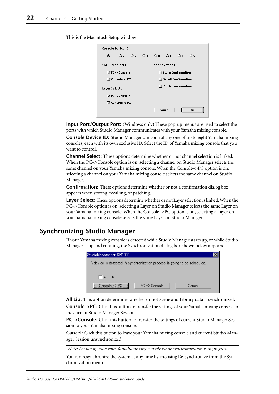This is the Macintosh Setup window

|                           |  |                                                                                    |  |  |        | $\bigcirc$ 8                                                                                                                                  |
|---------------------------|--|------------------------------------------------------------------------------------|--|--|--------|-----------------------------------------------------------------------------------------------------------------------------------------------|
| <b>Channel Select:</b>    |  |                                                                                    |  |  |        |                                                                                                                                               |
| $\boxtimes$ PC -> Console |  |                                                                                    |  |  |        |                                                                                                                                               |
| $\boxtimes$ Console -> PC |  |                                                                                    |  |  |        |                                                                                                                                               |
| Layer Select :            |  |                                                                                    |  |  |        |                                                                                                                                               |
|                           |  |                                                                                    |  |  |        |                                                                                                                                               |
|                           |  |                                                                                    |  |  |        |                                                                                                                                               |
|                           |  |                                                                                    |  |  |        | ΩK                                                                                                                                            |
|                           |  | <b>Console Device ID</b><br>$\boxtimes$ PC -> Console<br>$\boxtimes$ Console -> PC |  |  | Cancel | $Q2 \tQ3 \tQ4 \tQ5 \tQ6 \tQ7$<br><b>Confirmation:</b><br>$\Box$ Store Confirmation<br>$\Box$ Recall Confirmation<br>$\Box$ Patch Confirmation |

**Input Port/Output Port:** (Windows only) These pop-up menus are used to select the ports with which Studio Manager communicates with your Yamaha mixing console.

**Console Device ID:** Studio Manager can control any one of up to eight Yamaha mixing consoles, each with its own exclusive ID. Select the ID of Yamaha mixing console that you want to control.

**Channel Select:** These options determine whether or not channel selection is linked. When the PC–>Console option is on, selecting a channel on Studio Manager selects the same channel on your Yamaha mixing console. When the Console–>PC option is on, selecting a channel on your Yamaha mixing console selects the same channel on Studio Manager.

**Confirmation:** These options determine whether or not a confirmation dialog box appears when storing, recalling, or patching.

**Layer Select:** These options determine whether or not Layer selection is linked. When the PC–>Console option is on, selecting a Layer on Studio Manager selects the same Layer on your Yamaha mixing console. When the Console–>PC option is on, selecting a Layer on your Yamaha mixing console selects the same Layer on Studio Manager.

## <span id="page-21-0"></span>**Synchronizing Studio Manager**

If your Yamaha mixing console is detected while Studio Manager starts up, or while Studio Manager is up and running, the Synchronization dialog box shown below appears.

| StudioManager for DM1000                                                  |                          |        |  |
|---------------------------------------------------------------------------|--------------------------|--------|--|
| A device is detected. A synchronization process is going to be scheduled. |                          |        |  |
|                                                                           |                          |        |  |
| All Lib                                                                   |                          |        |  |
| $Concale \rightarrow PC$                                                  | $PC \rightarrow$ Console | Cancel |  |

**All Lib:** This option determines whether or not Scene and Library data is synchronized.

**Console–>PC:** Click this button to transfer the settings of your Yamaha mixing console to the current Studio Manager Session.

**PC–>Console:** Click this button to transfer the settings of current Studio Manager Session to your Yamaha mixing console.

**Cancel:** Click this button to leave your Yamaha mixing console and current Studio Manager Session unsynchronized.

*Note: Do not operate your Yamaha mixing console while synchronization is in progress.*

You can resynchronize the system at any time by choosing Re-synchronize from the Synchronization menu.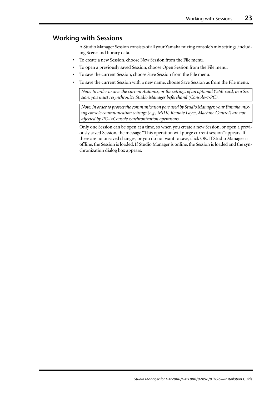## <span id="page-22-0"></span>**Working with Sessions**

A Studio Manager Session consists of all your Yamaha mixing console's mix settings, including Scene and library data.

- To create a new Session, choose New Session from the File menu.
- To open a previously saved Session, choose Open Session from the File menu.
- To save the current Session, choose Save Session from the File menu.
- To save the current Session with a new name, choose Save Session as from the File menu.

*Note: In order to save the current Automix, or the settings of an optional Y56K card, in a Session, you must resynchronize Studio Manager beforehand (Console–>PC).*

*Note: In order to protect the communication port used by Studio Manager, your Yamaha mixing console communication settings (e.g., MIDI, Remote Layer, Machine Control) are not affected by PC–>Console synchronization operations.*

Only one Session can be open at a time, so when you create a new Session, or open a previously saved Session, the message "This operation will purge current session" appears. If there are no unsaved changes, or you do not want to save, click OK. If Studio Manager is offline, the Session is loaded. If Studio Manager is online, the Session is loaded and the synchronization dialog box appears.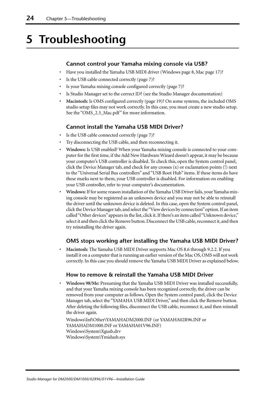## <span id="page-23-0"></span>**5 Troubleshooting**

## **Cannot control your Yamaha mixing console via USB?**

- Have you installed the Yamaha USB MIDI driver (Windows [page 8](#page-7-2), Mac [page 17\)](#page-16-0)?
- Is the USB cable connected correctly [\(page 7](#page-6-0))?
- Is your Yamaha mixing console configured correctly [\(page 7](#page-6-1))?
- Is Studio Manager set to the correct ID? (see the Studio Manager documentation)
- **Macintosh:** Is OMS configured correctly [\(page 19](#page-18-0))? On some systems, the included OMS studio setup files may not work correctly. In this case, you must create a new studio setup. See the "OMS\_2.3\_Mac.pdf" for more information.

## **Cannot install the Yamaha USB MIDI Driver?**

- Is the USB cable connected correctly [\(page 7](#page-6-0))?
- Try disconnecting the USB cable, and then reconnecting it.
- **Windows:** Is USB enabled? When your Yamaha mixing console is connected to your computer for the first time, if the Add New Hardware Wizard doesn't appear, it may be because your computer's USB controller is disabled. To check this, open the System control panel, click the Device Manager tab, and check for any crosses (x) or exclamation points (!) next to the "Universal Serial Bus controllers" and "USB Root Hub" items. If these items do have these marks next to them, your USB controller is disabled. For information on enabling your USB controller, refer to your computer's documentation.
- **Windows:**If for some reason installation of the Yamaha USB Driver fails, your Yamaha mixing console may be registered as an unknown device and you may not be able to reinstall the driver until the unknown device is deleted. In this case, open the System control panel, click the Device Manager tab, and select the "View devices by connection" option. If an item called "Other devices" appears in the list, click it. If there's an item called "Unknown device," select it and then click the Remove button. Disconnect the USB cable, reconnect it, and then try reinstalling the driver again.

## **OMS stops working after installing the Yamaha USB MIDI Driver?**

• **Macintosh:** The Yamaha USB MIDI Driver supports Mac OS 8.6 through 9.2.2. If you install it on a computer that is running an earlier version of the Mac OS, OMS will not work correctly. In this case you should remove the Yamaha USB MIDI Driver as explained below.

## **How to remove & reinstall the Yamaha USB MIDI Driver**

• **Windows 98/Me:** Presuming that the Yamaha USB MIDI Driver was installed successfully, and that your Yamaha mixing console has been recognized correctly, the driver can be removed from your computer as follows. Open the System control panel, click the Device Manager tab, select the "YAMAHA USB MIDI Driver," and then click the Remove button. After deleting the following files, disconnect the USB cable, reconnect it, and then reinstall the driver again.

Windows\Inf\Other\YAMAHADM2000.INF (or YAMAHA02R96.INF or YAMAHADM1000.INF or YAMAHA01V96.INF) Windows\System\Xgusb.drv Windows\System\Ymidusb.sys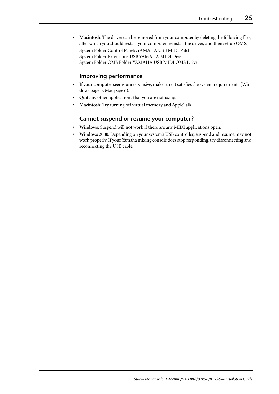• **Macintosh:** The driver can be removed from your computer by deleting the following files, after which you should restart your computer, reinstall the driver, and then set up OMS.

System Folder:Control Panels:YAMAHA USB MIDI Patch System Folder:Extensions:USB YAMAHA MIDI Diver System Folder:OMS Folder:YAMAHA USB MIDI OMS Driver

### **Improving performance**

- If your computer seems unresponsive, make sure it satisfies the system requirements (Windows [page 5](#page-4-0), Mac [page 6\)](#page-5-0).
- Quit any other applications that you are not using.
- **Macintosh:** Try turning off virtual memory and AppleTalk.

## **Cannot suspend or resume your computer?**

- **Windows:** Suspend will not work if there are any MIDI applications open.
- **Windows 2000:** Depending on your system's USB controller, suspend and resume may not work properly. If your Yamaha mixing console does stop responding, try disconnecting and reconnecting the USB cable.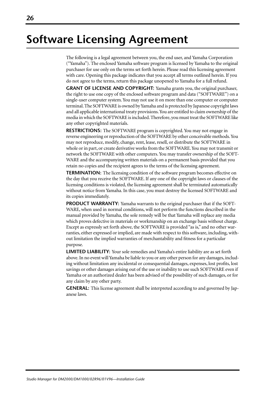## **Software Licensing Agreement**

The following is a legal agreement between you, the end user, and Yamaha Corporation ("Yamaha"). The enclosed Yamaha software program is licensed by Yamaha to the original purchaser for use only on the terms set forth herein. Please read this licensing agreement with care. Opening this package indicates that you accept all terms outlined herein. If you do not agree to the terms, return this package unopened to Yamaha for a full refund.

**GRANT OF LICENSE AND COPYRIGHT:** Yamaha grants you, the original purchaser, the right to use one copy of the enclosed software program and data ("SOFTWARE") on a single-user computer system. You may not use it on more than one computer or computer terminal. The SOFTWARE is owned by Yamaha and is protected by Japanese copyright laws and all applicable international treaty provisions. You are entitled to claim ownership of the media in which the SOFTWARE is included. Therefore, you must treat the SOFTWARE like any other copyrighted materials.

**RESTRICTIONS:** The SOFTWARE program is copyrighted. You may not engage in reverse engineering or reproduction of the SOFTWARE by other conceivable methods. You may not reproduce, modify, change, rent, lease, resell, or distribute the SOFTWARE in whole or in part, or create derivative works from the SOFTWARE. You may not transmit or network the SOFTWARE with other computers. You may transfer ownership of the SOFT-WARE and the accompanying written materials on a permanent basis provided that you retain no copies and the recipient agrees to the terms of the licensing agreement.

**TERMINATION:** The licensing condition of the software program becomes effective on the day that you receive the SOFTWARE. If any one of the copyright laws or clauses of the licensing conditions is violated, the licensing agreement shall be terminated automatically without notice from Yamaha. In this case, you must destroy the licensed SOFTWARE and its copies immediately.

**PRODUCT WARRANTY:** Yamaha warrants to the original purchaser that if the SOFT-WARE, when used in normal conditions, will not perform the functions described in the manual provided by Yamaha, the sole remedy will be that Yamaha will replace any media which proves defective in materials or workmanship on an exchange basis without charge. Except as expressly set forth above, the SOFTWARE is provided "as is," and no other warranties, either expressed or implied, are made with respect to this software, including, without limitation the implied warranties of merchantability and fitness for a particular purpose.

**LIMITED LIABILITY:** Your sole remedies and Yamaha's entire liability are as set forth above. In no event will Yamaha be liable to you or any other person for any damages, including without limitation any incidental or consequential damages, expenses, lost profits, lost savings or other damages arising out of the use or inability to use such SOFTWARE even if Yamaha or an authorized dealer has been advised of the possibility of such damages, or for any claim by any other party.

**GENERAL:** This license agreement shall be interpreted according to and governed by Japanese laws.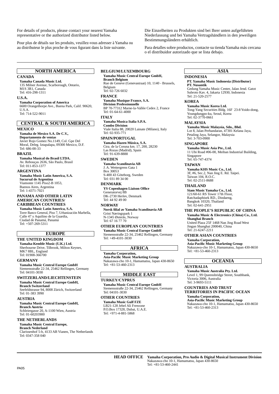For details of products, please contact your nearest Yamaha representative or the authorized distributor listed below.

Pour plus de détails sur les produits, veuillez-vous adresser à Yamaha ou au distributeur le plus proche de vous figurant dans la liste suivante.

Die Einzelheiten zu Produkten sind bei Ihrer unten aufgeführten Niederlassung und bei Yamaha Vertragshändlern in den jeweiligen Bestimmungsländern erhältlich.

Para detalles sobre productos, contacte su tienda Yamaha más cercana o el distribuidor autorizado que se lista debajo.

### **NORTH AMERICA**

#### **CANADA**

**Yamaha Canada Music Ltd.** 135 Milner Avenue, Scarborough, Ontario, M1S 3R1, Canada Tel: 416-298-1311

#### **U.S.A.**

**Yamaha Corporation of America**  6600 Orangethorpe Ave., Buena Park, Calif. 90620, U.S.A. Tel: 714-522-9011

### **CENTRAL & SOUTH AMERICA**

#### **MEXICO**

**Yamaha de Mexico S.A. De C.V., Departamento de ventas** Javier Rojo Gomez No.1149, Col. Gpe Del Moral, Deleg. Iztapalapa, 09300 Mexico, D.F. Tel: 686-00-33

#### **BRAZIL**

**Yamaha Musical do Brasil LTDA.** Av. Rebouças 2636, São Paulo, Brasil Tel: 011-853-1377

#### **ARGENTINA**

**Yamaha Music Latin America, S.A. Sucursal de Argentina** Viamonte 1145 Piso2-B 1053, Buenos Aires, Argentina Tel: 1-4371-7021

#### **PANAMA AND OTHER LATIN AMERICAN COUNTRIES/ CARIBBEAN COUNTRIES**

**Yamaha Music Latin America, S.A.** Torre Banco General, Piso 7, Urbanización Marbella, Calle 47 y Aquilino de la Guardia, Ciudad de Panamá, Panamá Tel: +507-269-5311

### **EUROPE**

**THE UNITED KINGDOM Yamaha-Kemble Music (U.K.) Ltd.** Sherbourne Drive, Tilbrook, Milton Keynes, MK7 8BL, England

### **GERMANY**

Tel: 01908-366700

**Yamaha Music Central Europe GmbH** Siemensstraße 22-34, 25462 Rellingen, Germany Tel: 04101-3030

#### **SWITZERLAND/LIECHTENSTEIN Yamaha Music Central Europe GmbH, Branch Switzerland**

Seefeldstrasse 94, 8008 Zürich, Switzerland Tel: 01-383 3990

### **AUSTRIA**

**Yamaha Music Central Europe GmbH, Branch Austria** Schleiergasse 20, A-1100 Wien, Austria Tel: 01-60203900

### **THE NETHERLANDS**

Tel: 0347-358 040

**Yamaha Music Central Europe, Branch Nederland** Clarissenhof 5-b, 4133 AB Vianen, The Netherlands

### **BELGIUM/LUXEMBOURG**

#### **Yamaha Music Central Europe GmbH, Branch Belgium**

Rue de Geneve (Genevastraat) 10, 1140 - Brussels, Belgium Tel: 02-726 6032

### **FRANCE**

**Yamaha Musique France, S.A.**

**Division Professionnelle** BP 70-77312 Marne-la-Vallée Cedex 2, France Tel: 01-64-61-4000

### **ITALY**

**Yamaha Musica Italia S.P.A. Combo Division**

Viale Italia 88, 20020 Lainate (Milano), Italy Tel: 02-935-771

### **SPAIN/PORTUGAL**

**Yamaha-Hazen Música, S.A.** Ctra. de la Coruna km. 17, 200, 28230 Las Rozas (Madrid), Spain Tel: 91-639-8888

### **SWEDEN**

**Yamaha Scandinavia AB** J. A. Wettergrens Gata 1 Box 30053 S-400 43 Göteborg, Sweden Tel: 031 89 34 00

### **DENMARK**

**YS Copenhagen Liaison Office** Generatorvej 8B DK-2730 Herlev, Denmark Tel: 44 92 49 00

### **NORWAY**

**Norsk filial av Yamaha Scandinavia AB**  Grini Næringspark 1 N-1345 Østerås, Norway Tel: 67 16 77 70

### **OTHER EUROPEAN COUNTRIES**

**Yamaha Music Central Europe GmbH** Siemensstraße 22-34, 25462 Rellingen, Germany Tel: +49-4101-3030

### **AFRICA**

**Yamaha Corporation, Asia-Pacific Music Marketing Group** Nakazawa-cho 10-1, Hamamatsu, Japan 430-8650 Tel: +81-53-460-2313

### **MIDDLE EAST**

**TURKEY/CYPRUS Yamaha Music Central Europe GmbH** Siemensstraße 22-34, 25462 Rellingen, Germany Tel: 04101-3030

### **OTHER COUNTRIES**

**Yamaha Music Gulf FZE** LB21-128 Jebel Ali Freezone P.O.Box 17328, Dubai, U.A.E. Tel: +971-4-881-5868

## **ASIA**

### **INDONESIA**

**PT. Yamaha Music Indonesia (Distributor) PT. Nusantik** Gedung Yamaha Music Center, Jalan Jend. Gatot Subroto Kav. 4, Jakarta 12930, Indonesia Tel: 21-520-2577

### **KOREA**

**Yamaha Music Korea Ltd.**

Tong-Yang Securities Bldg. 16F 23-8 Yoido-dong, Youngdungpo-ku, Seoul, Korea Tel: 02-3770-0661

### **MALAYSIA**

**Yamaha Music Malaysia, Sdn., Bhd.** Lot 8, Jalan Perbandaran, 47301 Kelana Jaya, Petaling Jaya, Selangor, Malaysia Tel: 3-703-0900

### **SINGAPORE**

**Yamaha Music Asia Pte., Ltd.** 11 Ubi Road #06-00, Meiban Industrial Building, Singapore Tel: 65-747-4374

**TAIWAN**

### **Yamaha KHS Music Co., Ltd.**

3F, #6, Sec.2, Nan Jing E. Rd. Taipei. Taiwan 104, R.O.C. Tel: 02-2511-8688

### **THAILAND**

**Siam Music Yamaha Co., Ltd.** 121/60-61 RS Tower 17th Floor, Ratchadaphisek RD., Dindaeng, Bangkok 10320, Thailand Tel: 02-641-2951

### **THE PEOPLE'S REPUBLIC OF CHINA**

**Yamaha Music & Electronics (China) Co., Ltd. Shanghai Branch** United Plaza 25F 1468 Nan Jing Road West

Jingan Shanghai 200040, China Tel: 21-6247-2211

**OTHER ASIAN COUNTRIES Yamaha Corporation,** 

**Asia-Pacific Music Marketing Group** Nakazawa-cho 10-1, Hamamatsu, Japan 430-8650 Tel: +81-53-460-2313

### **OCEANIA**

### **AUSTRALIA**

**Yamaha Music Australia Pty. Ltd.** Level 1, 99 Queensbridge Street, Southbank, Victoria 3006, Australia Tel: 3-9693-5111

### **COUNTRIES AND TRUST**

**TERRITORIES IN PACIFIC OCEAN Yamaha Corporation, Asia-Pacific Music Marketing Group**

Nakazawa-cho 10-1, Hamamatsu, Japan 430-8650 Tel: +81-53-460-2313